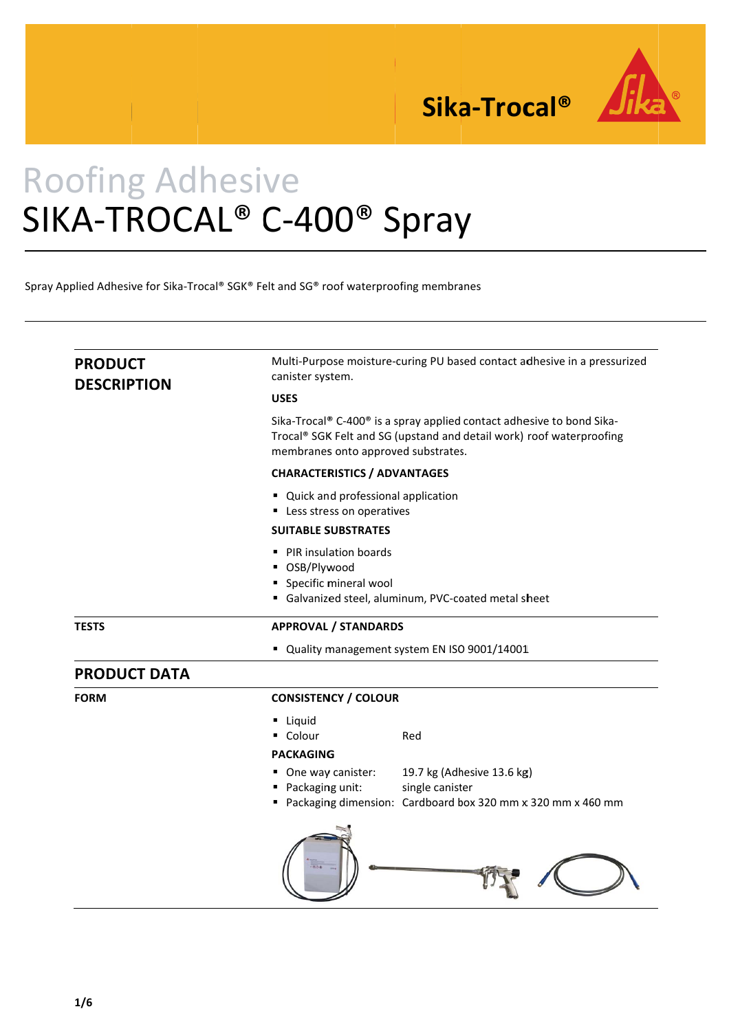

Sika-Trocal<sup>®</sup>

# **Roofing Adhesive** SIKA-TROCAL<sup>®</sup> C-400<sup>®</sup> Spray

Spray Applied Adhesive for Sika-Trocal® SGK® Felt and SG® roof waterproofing membranes

| <b>PRODUCT</b><br><b>DESCRIPTION</b> | Multi-Purpose moisture-curing PU based contact adhesive in a pressurized<br>canister system.                                                                                         |
|--------------------------------------|--------------------------------------------------------------------------------------------------------------------------------------------------------------------------------------|
|                                      | <b>USES</b>                                                                                                                                                                          |
|                                      | Sika-Trocal® C-400® is a spray applied contact adhesive to bond Sika-<br>Trocal® SGK Felt and SG (upstand and detail work) roof waterproofing<br>membranes onto approved substrates. |
|                                      | <b>CHARACTERISTICS / ADVANTAGES</b>                                                                                                                                                  |
|                                      | " Quick and professional application<br>Less stress on operatives                                                                                                                    |
|                                      | <b>SUITABLE SUBSTRATES</b>                                                                                                                                                           |
|                                      | • PIR insulation boards<br>■ OSB/Plywood<br>• Specific mineral wool<br>Galvanized steel, aluminum, PVC-coated metal sheet                                                            |
| <b>TESTS</b>                         | <b>APPROVAL / STANDARDS</b>                                                                                                                                                          |
|                                      | " Quality management system EN ISO 9001/14001                                                                                                                                        |
| <b>PRODUCT DATA</b>                  |                                                                                                                                                                                      |
| <b>FORM</b>                          | <b>CONSISTENCY / COLOUR</b>                                                                                                                                                          |
|                                      | <b>Liquid</b><br>• Colour<br>Red<br><b>PACKAGING</b>                                                                                                                                 |
|                                      | 19.7 kg (Adhesive 13.6 kg)<br>One way canister:<br>single canister<br>Packaging unit:<br>Packaging dimension: Cardboard box 320 mm x 320 mm x 460 mm                                 |
|                                      |                                                                                                                                                                                      |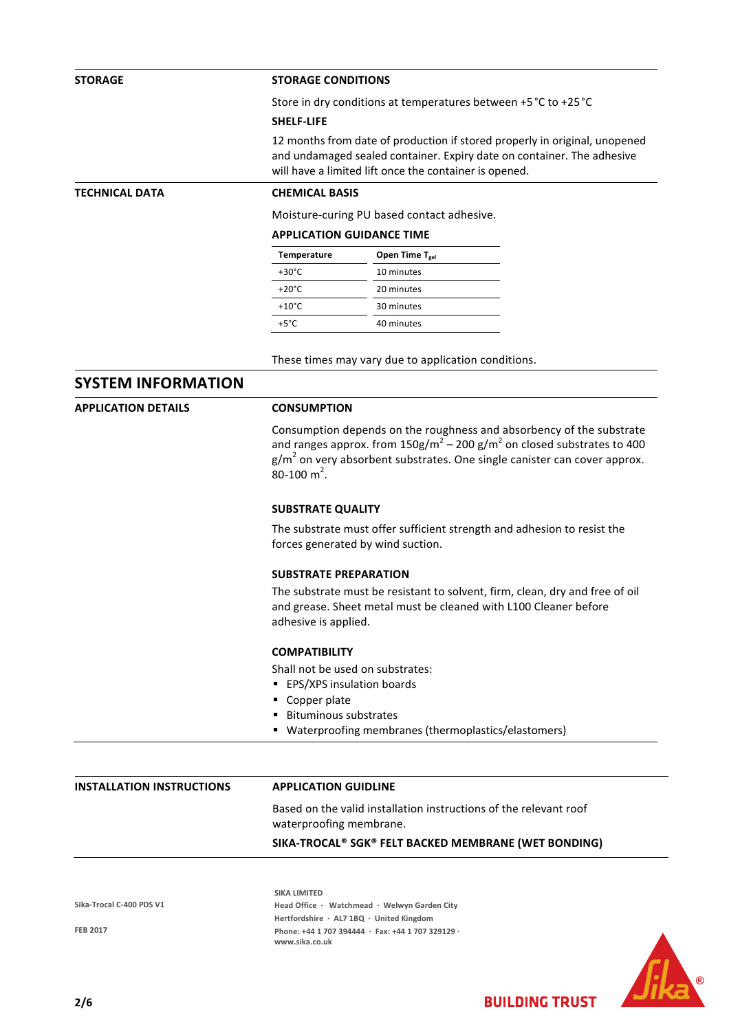# **STORAGE STORAGE CONDITIONS**

Store in dry conditions at temperatures between +5°C to +25°C

#### **SHELF‐LIFE**

12 months from date of production if stored properly in original, unopened and undamaged sealed container. Expiry date on container. The adhesive will have a limited lift once the container is opened.

**TECHNICAL DATA CHEMICAL BASIS**

Moisture‐curing PU based contact adhesive.

# **APPLICATION GUIDANCE TIME**

| Temperature     | Open Time $T_{gel}$ |
|-----------------|---------------------|
| $+30^{\circ}$ C | 10 minutes          |
| $+20^{\circ}$ C | 20 minutes          |
| $+10^{\circ}$ C | 30 minutes          |
| $+5^{\circ}$ C. | 40 minutes          |

These times may vary due to application conditions.

# **SYSTEM INFORMATION**

**APPLICATION DETAILS CONSUMPTION**

Consumption depends on the roughness and absorbency of the substrate and ranges approx. from  $150g/m^2 - 200 g/m^2$  on closed substrates to 400  $g/m^2$  on very absorbent substrates. One single canister can cover approx. 80-100 m<sup>2</sup>.

# **SUBSTRATE QUALITY**

The substrate must offer sufficient strength and adhesion to resist the forces generated by wind suction.

# **SUBSTRATE PREPARATION**

The substrate must be resistant to solvent, firm, clean, dry and free of oil and grease. Sheet metal must be cleaned with L100 Cleaner before adhesive is applied.

#### **COMPATIBILITY**

Shall not be used on substrates:

- **EPS/XPS insulation boards**
- Copper plate
- **Bituminous substrates**
- Waterproofing membranes (thermoplastics/elastomers)

## **INSTALLATION INSTRUCTIONS APPLICATION GUIDLINE**

Based on the valid installation instructions of the relevant roof waterproofing membrane.

### **SIKA‐TROCAL® SGK® FELT BACKED MEMBRANE (WET BONDING)**

**Sika‐Trocal C‐400 PDS V1**

**FEB 2017**

**SIKA LIMITED Head Office ∙ Watchmead ∙ Welwyn Garden City Hertfordshire ∙ AL7 1BQ ∙ United Kingdom Phone: +44 1 707 394444 ∙ Fax: +44 1 707 329129 ∙ www.sika.co.uk**

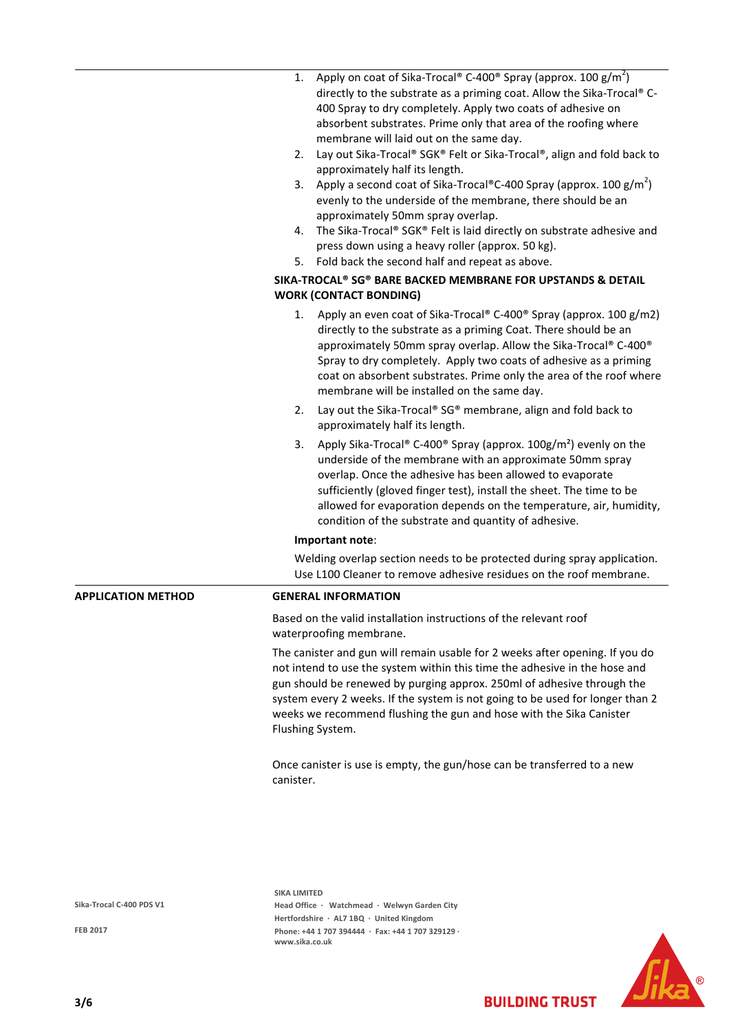|                           | Apply on coat of Sika-Trocal <sup>®</sup> C-400 <sup>®</sup> Spray (approx. 100 g/m <sup>2</sup> )<br>1.<br>directly to the substrate as a priming coat. Allow the Sika-Trocal® C-<br>400 Spray to dry completely. Apply two coats of adhesive on<br>absorbent substrates. Prime only that area of the roofing where<br>membrane will laid out on the same day.<br>Lay out Sika-Trocal® SGK® Felt or Sika-Trocal®, align and fold back to<br>2.<br>approximately half its length.<br>Apply a second coat of Sika-Trocal®C-400 Spray (approx. 100 $g/m^2$ )<br>3.<br>evenly to the underside of the membrane, there should be an<br>approximately 50mm spray overlap.<br>The Sika-Trocal® SGK® Felt is laid directly on substrate adhesive and<br>4.<br>press down using a heavy roller (approx. 50 kg).<br>Fold back the second half and repeat as above.<br>5.<br>SIKA-TROCAL® SG® BARE BACKED MEMBRANE FOR UPSTANDS & DETAIL |
|---------------------------|--------------------------------------------------------------------------------------------------------------------------------------------------------------------------------------------------------------------------------------------------------------------------------------------------------------------------------------------------------------------------------------------------------------------------------------------------------------------------------------------------------------------------------------------------------------------------------------------------------------------------------------------------------------------------------------------------------------------------------------------------------------------------------------------------------------------------------------------------------------------------------------------------------------------------------|
|                           | <b>WORK (CONTACT BONDING)</b>                                                                                                                                                                                                                                                                                                                                                                                                                                                                                                                                                                                                                                                                                                                                                                                                                                                                                                  |
|                           | 1. Apply an even coat of Sika-Trocal® C-400® Spray (approx. 100 g/m2)<br>directly to the substrate as a priming Coat. There should be an<br>approximately 50mm spray overlap. Allow the Sika-Trocal® C-400®<br>Spray to dry completely. Apply two coats of adhesive as a priming<br>coat on absorbent substrates. Prime only the area of the roof where<br>membrane will be installed on the same day.                                                                                                                                                                                                                                                                                                                                                                                                                                                                                                                         |
|                           | Lay out the Sika-Trocal® SG® membrane, align and fold back to<br>2.<br>approximately half its length.                                                                                                                                                                                                                                                                                                                                                                                                                                                                                                                                                                                                                                                                                                                                                                                                                          |
|                           | Apply Sika-Trocal® C-400® Spray (approx. 100g/m <sup>2</sup> ) evenly on the<br>3.<br>underside of the membrane with an approximate 50mm spray<br>overlap. Once the adhesive has been allowed to evaporate<br>sufficiently (gloved finger test), install the sheet. The time to be<br>allowed for evaporation depends on the temperature, air, humidity,<br>condition of the substrate and quantity of adhesive.                                                                                                                                                                                                                                                                                                                                                                                                                                                                                                               |
|                           | Important note:                                                                                                                                                                                                                                                                                                                                                                                                                                                                                                                                                                                                                                                                                                                                                                                                                                                                                                                |
|                           | Welding overlap section needs to be protected during spray application.<br>Use L100 Cleaner to remove adhesive residues on the roof membrane.                                                                                                                                                                                                                                                                                                                                                                                                                                                                                                                                                                                                                                                                                                                                                                                  |
| <b>APPLICATION METHOD</b> | <b>GENERAL INFORMATION</b>                                                                                                                                                                                                                                                                                                                                                                                                                                                                                                                                                                                                                                                                                                                                                                                                                                                                                                     |
|                           | Based on the valid installation instructions of the relevant roof<br>waterproofing membrane.                                                                                                                                                                                                                                                                                                                                                                                                                                                                                                                                                                                                                                                                                                                                                                                                                                   |
|                           | The canister and gun will remain usable for 2 weeks after opening. If you do<br>not intend to use the system within this time the adhesive in the hose and<br>gun should be renewed by purging approx. 250ml of adhesive through the<br>system every 2 weeks. If the system is not going to be used for longer than 2<br>weeks we recommend flushing the gun and hose with the Sika Canister<br>Flushing System.                                                                                                                                                                                                                                                                                                                                                                                                                                                                                                               |
|                           | Once canister is use is empty, the gun/hose can be transferred to a new<br>canister.                                                                                                                                                                                                                                                                                                                                                                                                                                                                                                                                                                                                                                                                                                                                                                                                                                           |
|                           |                                                                                                                                                                                                                                                                                                                                                                                                                                                                                                                                                                                                                                                                                                                                                                                                                                                                                                                                |
|                           | <b>SIKA LIMITED</b>                                                                                                                                                                                                                                                                                                                                                                                                                                                                                                                                                                                                                                                                                                                                                                                                                                                                                                            |
| Sika-Trocal C-400 PDS V1  | Head Office · Watchmead · Welwyn Garden City                                                                                                                                                                                                                                                                                                                                                                                                                                                                                                                                                                                                                                                                                                                                                                                                                                                                                   |

**FEB 2017**

**Head Office ∙ Watchmead ∙ Welwyn Garden City Hertfordshire ∙ AL7 1BQ ∙ United Kingdom Phone: +44 1 707 394444 ∙ Fax: +44 1 707 329129 ∙ www.sika.co.uk**

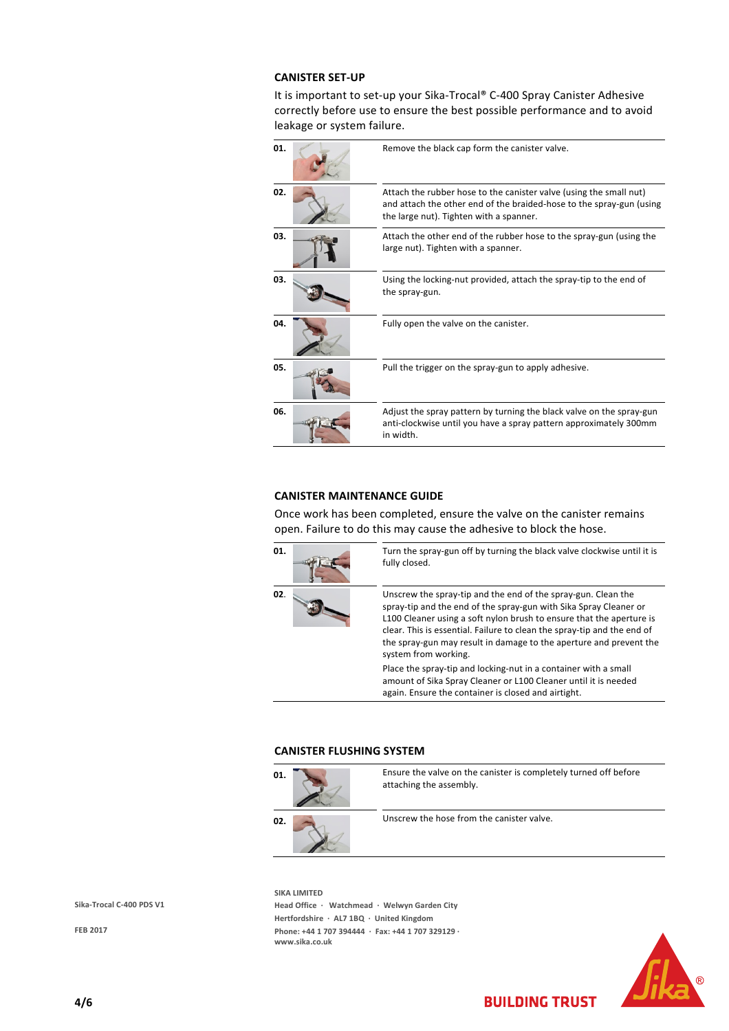## **CANISTER SET‐UP**

It is important to set-up your Sika-Trocal® C-400 Spray Canister Adhesive correctly before use to ensure the best possible performance and to avoid leakage or system failure.

| 01. | Remove the black cap form the canister valve.                                                                                                                                         |
|-----|---------------------------------------------------------------------------------------------------------------------------------------------------------------------------------------|
| 02. | Attach the rubber hose to the canister valve (using the small nut)<br>and attach the other end of the braided-hose to the spray-gun (using<br>the large nut). Tighten with a spanner. |
| 03. | Attach the other end of the rubber hose to the spray-gun (using the<br>large nut). Tighten with a spanner.                                                                            |
| 03. | Using the locking-nut provided, attach the spray-tip to the end of<br>the spray-gun.                                                                                                  |
| 04. | Fully open the valve on the canister.                                                                                                                                                 |
| 05. | Pull the trigger on the spray-gun to apply adhesive.                                                                                                                                  |
| 06. | Adjust the spray pattern by turning the black valve on the spray-gun<br>anti-clockwise until you have a spray pattern approximately 300mm<br>in width.                                |

# **CANISTER MAINTENANCE GUIDE**

Once work has been completed, ensure the valve on the canister remains open. Failure to do this may cause the adhesive to block the hose.



**01.** Turn the spray-gun off by turning the black valve clockwise until it is fully closed.

**02.** Unscrew the spray-tip and the end of the spray-gun. Clean the spray‐tip and the end of the spray‐gun with Sika Spray Cleaner or L100 Cleaner using a soft nylon brush to ensure that the aperture is clear. This is essential. Failure to clean the spray‐tip and the end of the spray‐gun may result in damage to the aperture and prevent the system from working.

**BUILDING TRUST** 

Place the spray‐tip and locking‐nut in a container with a small amount of Sika Spray Cleaner or L100 Cleaner until it is needed again. Ensure the container is closed and airtight.

## **CANISTER FLUSHING SYSTEM**



**SIKA LIMITED Head Office ∙ Watchmead ∙ Welwyn Garden City Hertfordshire ∙ AL7 1BQ ∙ United Kingdom Phone: +44 1 707 394444 ∙ Fax: +44 1 707 329129 ∙ www.sika.co.uk**



**Sika‐Trocal C‐400 PDS V1**

**FEB 2017**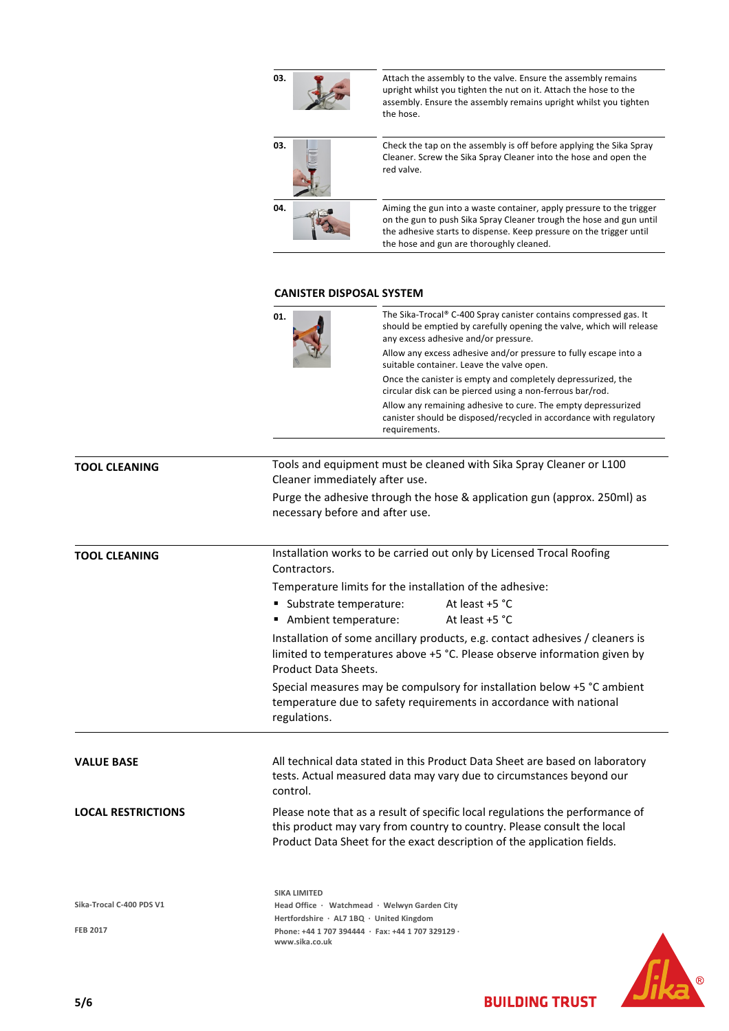| 03.                                                               | Attach the assembly to the valve. Ensure the assembly remains<br>upright whilst you tighten the nut on it. Attach the hose to the<br>assembly. Ensure the assembly remains upright whilst you tighten<br>the hose.                                             |  |  |  |
|-------------------------------------------------------------------|----------------------------------------------------------------------------------------------------------------------------------------------------------------------------------------------------------------------------------------------------------------|--|--|--|
| 03.                                                               | Check the tap on the assembly is off before applying the Sika Spray<br>Cleaner. Screw the Sika Spray Cleaner into the hose and open the<br>red valve.                                                                                                          |  |  |  |
| 04.                                                               | Aiming the gun into a waste container, apply pressure to the trigger<br>on the gun to push Sika Spray Cleaner trough the hose and gun until<br>the adhesive starts to dispense. Keep pressure on the trigger until<br>the hose and gun are thoroughly cleaned. |  |  |  |
|                                                                   |                                                                                                                                                                                                                                                                |  |  |  |
|                                                                   | <b>CANISTER DISPOSAL SYSTEM</b>                                                                                                                                                                                                                                |  |  |  |
| 01.                                                               | The Sika-Trocal® C-400 Spray canister contains compressed gas. It<br>should be emptied by carefully opening the valve, which will release<br>any excess adhesive and/or pressure.                                                                              |  |  |  |
|                                                                   | Allow any excess adhesive and/or pressure to fully escape into a<br>suitable container. Leave the valve open.                                                                                                                                                  |  |  |  |
|                                                                   | Once the canister is empty and completely depressurized, the<br>circular disk can be pierced using a non-ferrous bar/rod.                                                                                                                                      |  |  |  |
|                                                                   | Allow any remaining adhesive to cure. The empty depressurized<br>canister should be disposed/recycled in accordance with regulatory<br>requirements.                                                                                                           |  |  |  |
|                                                                   |                                                                                                                                                                                                                                                                |  |  |  |
|                                                                   | Tools and equipment must be cleaned with Sika Spray Cleaner or L100                                                                                                                                                                                            |  |  |  |
| Cleaner immediately after use.<br>necessary before and after use. | Purge the adhesive through the hose & application gun (approx. 250ml) as                                                                                                                                                                                       |  |  |  |
| Contractors.                                                      | Installation works to be carried out only by Licensed Trocal Roofing                                                                                                                                                                                           |  |  |  |
|                                                                   | Temperature limits for the installation of the adhesive:                                                                                                                                                                                                       |  |  |  |
| ■ Substrate temperature:                                          | At least +5 °C                                                                                                                                                                                                                                                 |  |  |  |
| Ambient temperature:                                              | At least +5 °C                                                                                                                                                                                                                                                 |  |  |  |
| Product Data Sheets.                                              | Installation of some ancillary products, e.g. contact adhesives / cleaners is<br>limited to temperatures above +5 °C. Please observe information given by                                                                                                      |  |  |  |
| regulations.                                                      | Special measures may be compulsory for installation below +5 °C ambient<br>temperature due to safety requirements in accordance with national                                                                                                                  |  |  |  |

**TOOL CLEANING** 

**TOOL CLEANING** 

**VALUE BASE** All technical data stated in this Product Data Sheet are based on laboratory tests. Actual measured data may vary due to circumstances beyond our control.

**LOCAL RESTRICTIONS** Please note that as a result of specific local regulations the performance of this product may vary from country to country. Please consult the local Product Data Sheet for the exact description of the application fields.

**Sika‐Trocal C‐400 PDS V1**

**FEB 2017**

**SIKA LIMITED Head Office ∙ Watchmead ∙ Welwyn Garden City Hertfordshire ∙ AL7 1BQ ∙ United Kingdom Phone: +44 1 707 394444 ∙ Fax: +44 1 707 329129 ∙ www.sika.co.uk**